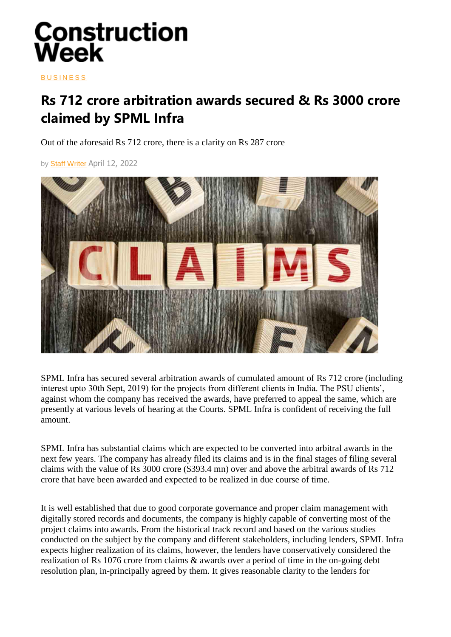## **Construction Week**

**BUSINESS** 

## **Rs 712 crore arbitration awards secured & Rs 3000 crore claimed by SPML Infra**

Out of the aforesaid Rs 712 crore, there is a clarity on Rs 287 crore

by [Staff Writer](https://www.constructionweekonline.in/author/staff-writer) April 12, 2022



SPML Infra has secured several arbitration awards of cumulated amount of Rs 712 crore (including interest upto 30th Sept, 2019) for the projects from different clients in India. The PSU clients', against whom the company has received the awards, have preferred to appeal the same, which are presently at various levels of hearing at the Courts. SPML Infra is confident of receiving the full amount.

SPML Infra has substantial claims which are expected to be converted into arbitral awards in the next few years. The company has already filed its claims and is in the final stages of filing several claims with the value of Rs 3000 crore (\$393.4 mn) over and above the arbitral awards of Rs 712 crore that have been awarded and expected to be realized in due course of time.

It is well established that due to good corporate governance and proper claim management with digitally stored records and documents, the company is highly capable of converting most of the project claims into awards. From the historical track record and based on the various studies conducted on the subject by the company and different stakeholders, including lenders, SPML Infra expects higher realization of its claims, however, the lenders have conservatively considered the realization of Rs 1076 crore from claims & awards over a period of time in the on-going debt resolution plan, in-principally agreed by them. It gives reasonable clarity to the lenders for